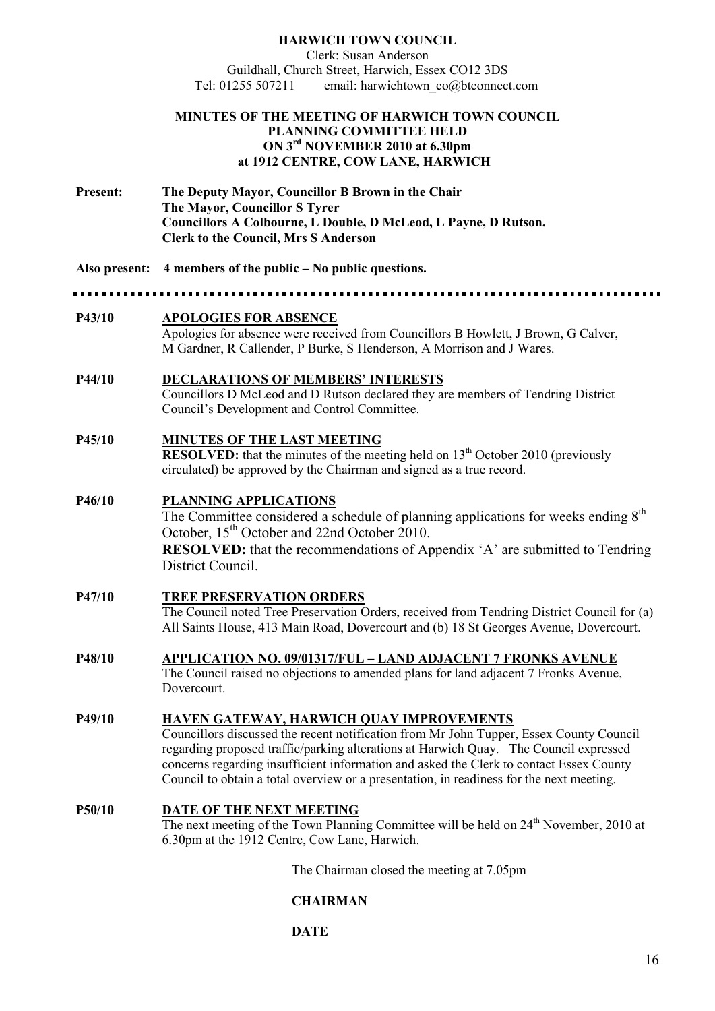#### **HARWICH TOW COU CIL**  Clerk: Susan Anderson Guildhall, Church Street, Harwich, Essex CO12 3DS<br>Tel: 01255 507211 email: harwichtown co@btconnect email: harwichtown\_co@btconnect.com

#### **MI UTES OF THE MEETI G OF HARWICH TOW COU CIL PLANNING COMMITTEE HELD O 3rd OVEMBER 2010 at 6.30pm at 1912 CE TRE, COW LA E, HARWICH**

- **Present: The Deputy Mayor, Councillor B Brown in the Chair The Mayor, Councillor S Tyrer Councillors A Colbourne, L Double, D McLeod, L Payne, D Rutson. Clerk to the Council, Mrs S Anderson**
- **Also present: 4 members of the public o public questions.**

| P43/10 | <b>APOLOGIES FOR ABSENCE</b><br>Apologies for absence were received from Councillors B Howlett, J Brown, G Calver,<br>M Gardner, R Callender, P Burke, S Henderson, A Morrison and J Wares.                                                                                                                                                                                                                         |  |
|--------|---------------------------------------------------------------------------------------------------------------------------------------------------------------------------------------------------------------------------------------------------------------------------------------------------------------------------------------------------------------------------------------------------------------------|--|
| P44/10 | <b>DECLARATIONS OF MEMBERS' INTERESTS</b><br>Councillors D McLeod and D Rutson declared they are members of Tendring District<br>Council's Development and Control Committee.                                                                                                                                                                                                                                       |  |
| P45/10 | MINUTES OF THE LAST MEETING<br><b>RESOLVED:</b> that the minutes of the meeting held on $13th$ October 2010 (previously<br>circulated) be approved by the Chairman and signed as a true record.                                                                                                                                                                                                                     |  |
| P46/10 | <b>PLANNING APPLICATIONS</b><br>The Committee considered a schedule of planning applications for weeks ending 8 <sup>th</sup><br>October, 15 <sup>th</sup> October and 22nd October 2010.<br><b>RESOLVED:</b> that the recommendations of Appendix 'A' are submitted to Tendring<br>District Council.                                                                                                               |  |
| P47/10 | <b>TREE PRESERVATION ORDERS</b><br>The Council noted Tree Preservation Orders, received from Tendring District Council for (a)<br>All Saints House, 413 Main Road, Dovercourt and (b) 18 St Georges Avenue, Dovercourt.                                                                                                                                                                                             |  |
| P48/10 | <b>APPLICATION NO. 09/01317/FUL – LAND ADJACENT 7 FRONKS AVENUE</b><br>The Council raised no objections to amended plans for land adjacent 7 Fronks Avenue,<br>Dovercourt.                                                                                                                                                                                                                                          |  |
| P49/10 | HAVEN GATEWAY, HARWICH QUAY IMPROVEMENTS<br>Councillors discussed the recent notification from Mr John Tupper, Essex County Council<br>regarding proposed traffic/parking alterations at Harwich Quay. The Council expressed<br>concerns regarding insufficient information and asked the Clerk to contact Essex County<br>Council to obtain a total overview or a presentation, in readiness for the next meeting. |  |

**P50/10 DATE OF THE NEXT MEETING** The next meeting of the Town Planning Committee will be held on  $24<sup>th</sup>$  November, 2010 at 6.30pm at the 1912 Centre, Cow Lane, Harwich.

The Chairman closed the meeting at 7.05pm

# **CHAIRMA**

**DATE**